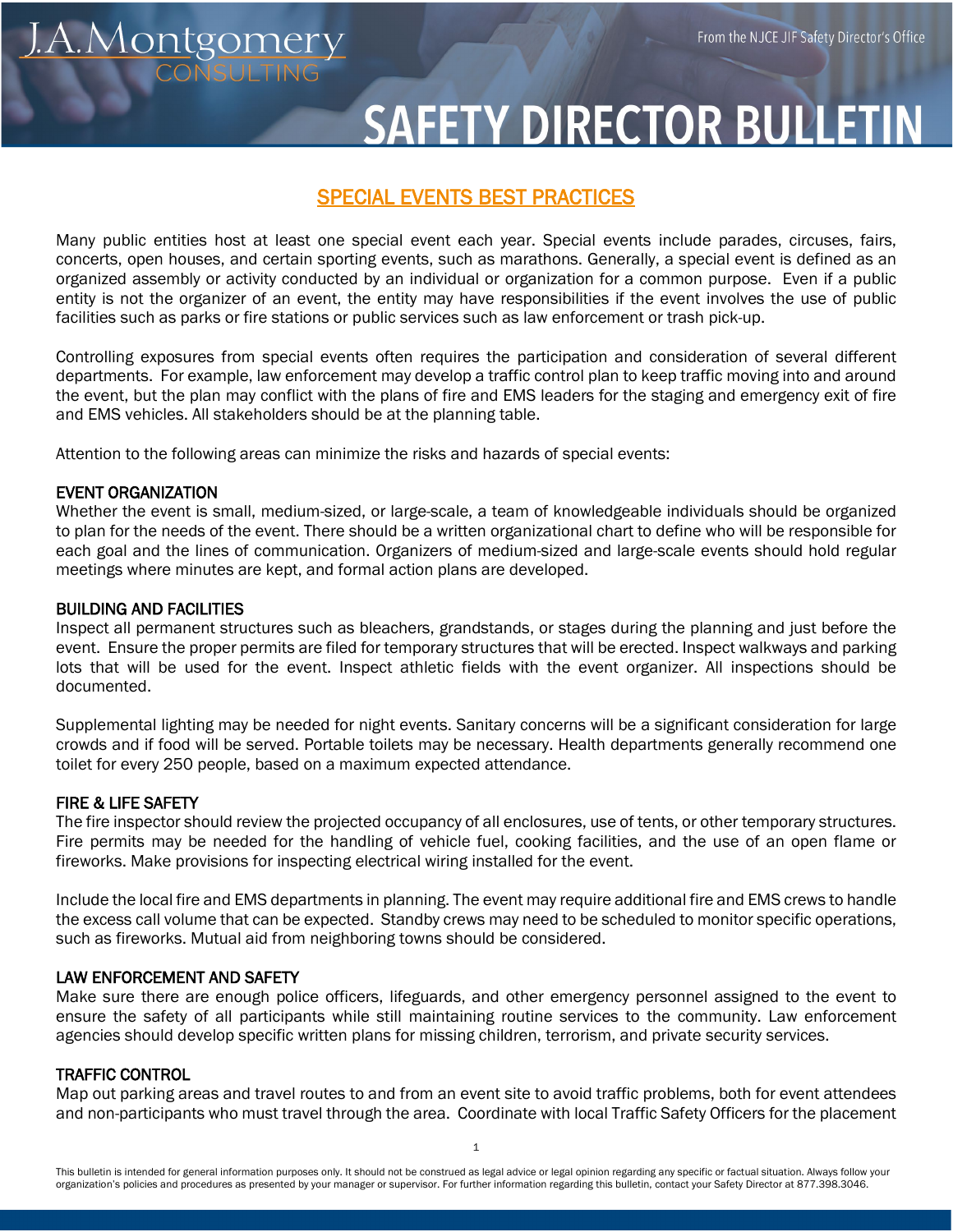# <u>.A.Montgomery</u>

# **SAFETY DIRECTOR BULLETIN**

# SPECIAL EVENTS BEST PRACTICES

Many public entities host at least one special event each year. Special events include parades, circuses, fairs, concerts, open houses, and certain sporting events, such as marathons. Generally, a special event is defined as an organized assembly or activity conducted by an individual or organization for a common purpose. Even if a public entity is not the organizer of an event, the entity may have responsibilities if the event involves the use of public facilities such as parks or fire stations or public services such as law enforcement or trash pick-up.

Controlling exposures from special events often requires the participation and consideration of several different departments. For example, law enforcement may develop a traffic control plan to keep traffic moving into and around the event, but the plan may conflict with the plans of fire and EMS leaders for the staging and emergency exit of fire and EMS vehicles. All stakeholders should be at the planning table.

Attention to the following areas can minimize the risks and hazards of special events:

## EVENT ORGANIZATION

Whether the event is small, medium-sized, or large-scale, a team of knowledgeable individuals should be organized to plan for the needs of the event. There should be a written organizational chart to define who will be responsible for each goal and the lines of communication. Organizers of medium-sized and large-scale events should hold regular meetings where minutes are kept, and formal action plans are developed.

### BUILDING AND FACILITIES

Inspect all permanent structures such as bleachers, grandstands, or stages during the planning and just before the event. Ensure the proper permits are filed for temporary structures that will be erected. Inspect walkways and parking lots that will be used for the event. Inspect athletic fields with the event organizer. All inspections should be documented.

Supplemental lighting may be needed for night events. Sanitary concerns will be a significant consideration for large crowds and if food will be served. Portable toilets may be necessary. Health departments generally recommend one toilet for every 250 people, based on a maximum expected attendance.

### FIRE & LIFE SAFETY

The fire inspector should review the projected occupancy of all enclosures, use of tents, or other temporary structures. Fire permits may be needed for the handling of vehicle fuel, cooking facilities, and the use of an open flame or fireworks. Make provisions for inspecting electrical wiring installed for the event.

Include the local fire and EMS departments in planning. The event may require additional fire and EMS crews to handle the excess call volume that can be expected. Standby crews may need to be scheduled to monitor specific operations, such as fireworks. Mutual aid from neighboring towns should be considered.

### LAW ENFORCEMENT AND SAFETY

Make sure there are enough police officers, lifeguards, and other emergency personnel assigned to the event to ensure the safety of all participants while still maintaining routine services to the community. Law enforcement agencies should develop specific written plans for missing children, terrorism, and private security services.

### TRAFFIC CONTROL

Map out parking areas and travel routes to and from an event site to avoid traffic problems, both for event attendees and non-participants who must travel through the area. Coordinate with local Traffic Safety Officers for the placement